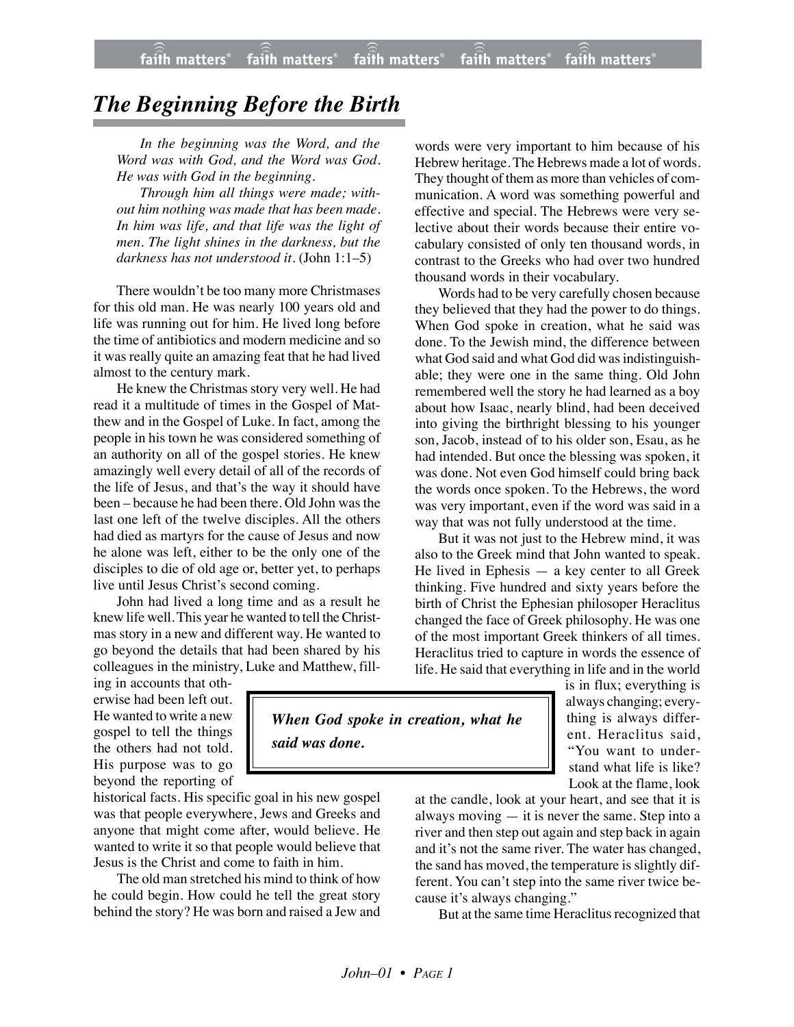## *The Beginning Before the Birth*

*In the beginning was the Word, and the Word was with God, and the Word was God. He was with God in the beginning.*

*Through him all things were made; without him nothing was made that has been made. In him was life, and that life was the light of men. The light shines in the darkness, but the darkness has not understood it.* (John 1:1–5)

There wouldn't be too many more Christmases for this old man. He was nearly 100 years old and life was running out for him. He lived long before the time of antibiotics and modern medicine and so it was really quite an amazing feat that he had lived almost to the century mark.

He knew the Christmas story very well. He had read it a multitude of times in the Gospel of Matthew and in the Gospel of Luke. In fact, among the people in his town he was considered something of an authority on all of the gospel stories. He knew amazingly well every detail of all of the records of the life of Jesus, and that's the way it should have been – because he had been there. Old John was the last one left of the twelve disciples. All the others had died as martyrs for the cause of Jesus and now he alone was left, either to be the only one of the disciples to die of old age or, better yet, to perhaps live until Jesus Christ's second coming.

John had lived a long time and as a result he knew life well. This year he wanted to tell the Christmas story in a new and different way. He wanted to go beyond the details that had been shared by his colleagues in the ministry, Luke and Matthew, fill-

ing in accounts that otherwise had been left out. He wanted to write a new gospel to tell the things the others had not told. His purpose was to go beyond the reporting of

historical facts. His specific goal in his new gospel was that people everywhere, Jews and Greeks and anyone that might come after, would believe. He wanted to write it so that people would believe that Jesus is the Christ and come to faith in him.

The old man stretched his mind to think of how he could begin. How could he tell the great story behind the story? He was born and raised a Jew and words were very important to him because of his Hebrew heritage. The Hebrews made a lot of words. They thought of them as more than vehicles of communication. A word was something powerful and effective and special. The Hebrews were very selective about their words because their entire vocabulary consisted of only ten thousand words, in contrast to the Greeks who had over two hundred thousand words in their vocabulary.

Words had to be very carefully chosen because they believed that they had the power to do things. When God spoke in creation, what he said was done. To the Jewish mind, the difference between what God said and what God did was indistinguishable; they were one in the same thing. Old John remembered well the story he had learned as a boy about how Isaac, nearly blind, had been deceived into giving the birthright blessing to his younger son, Jacob, instead of to his older son, Esau, as he had intended. But once the blessing was spoken, it was done. Not even God himself could bring back the words once spoken. To the Hebrews, the word was very important, even if the word was said in a way that was not fully understood at the time.

But it was not just to the Hebrew mind, it was also to the Greek mind that John wanted to speak. He lived in Ephesis — a key center to all Greek thinking. Five hundred and sixty years before the birth of Christ the Ephesian philosoper Heraclitus changed the face of Greek philosophy. He was one of the most important Greek thinkers of all times. Heraclitus tried to capture in words the essence of life. He said that everything in life and in the world

is in flux; everything is always changing; everything is always different. Heraclitus said, "You want to understand what life is like? Look at the flame, look

at the candle, look at your heart, and see that it is always moving  $-$  it is never the same. Step into a river and then step out again and step back in again and it's not the same river. The water has changed, the sand has moved, the temperature is slightly different. You can't step into the same river twice because it's always changing."

But at the same time Heraclitus recognized that

*When God spoke in creation, what he said was done.*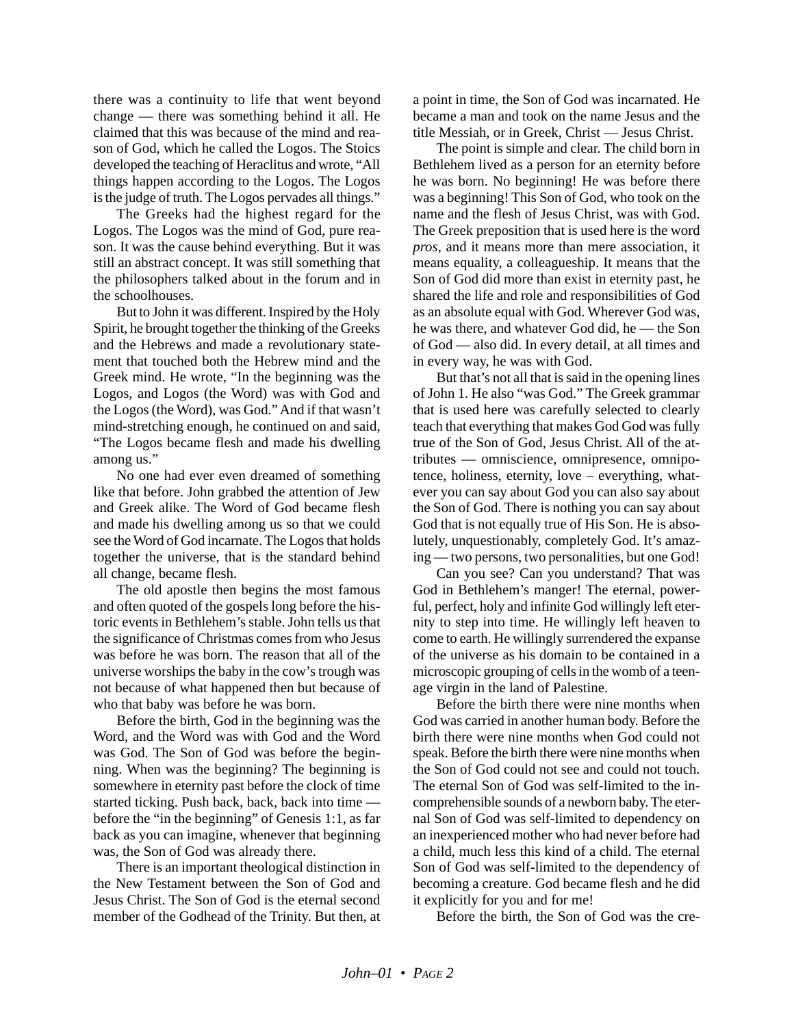there was a continuity to life that went beyond change — there was something behind it all. He claimed that this was because of the mind and reason of God, which he called the Logos. The Stoics developed the teaching of Heraclitus and wrote, "All things happen according to the Logos. The Logos is the judge of truth. The Logos pervades all things."

The Greeks had the highest regard for the Logos. The Logos was the mind of God, pure reason. It was the cause behind everything. But it was still an abstract concept. It was still something that the philosophers talked about in the forum and in the schoolhouses.

But to John it was different. Inspired by the Holy Spirit, he brought together the thinking of the Greeks and the Hebrews and made a revolutionary statement that touched both the Hebrew mind and the Greek mind. He wrote, "In the beginning was the Logos, and Logos (the Word) was with God and the Logos (the Word), was God." And if that wasn't mind-stretching enough, he continued on and said, "The Logos became flesh and made his dwelling among us."

No one had ever even dreamed of something like that before. John grabbed the attention of Jew and Greek alike. The Word of God became flesh and made his dwelling among us so that we could see the Word of God incarnate. The Logos that holds together the universe, that is the standard behind all change, became flesh.

The old apostle then begins the most famous and often quoted of the gospels long before the historic events in Bethlehem's stable. John tells us that the significance of Christmas comes from who Jesus was before he was born. The reason that all of the universe worships the baby in the cow's trough was not because of what happened then but because of who that baby was before he was born.

Before the birth, God in the beginning was the Word, and the Word was with God and the Word was God. The Son of God was before the beginning. When was the beginning? The beginning is somewhere in eternity past before the clock of time started ticking. Push back, back, back into time before the "in the beginning" of Genesis 1:1, as far back as you can imagine, whenever that beginning was, the Son of God was already there.

There is an important theological distinction in the New Testament between the Son of God and Jesus Christ. The Son of God is the eternal second member of the Godhead of the Trinity. But then, at a point in time, the Son of God was incarnated. He became a man and took on the name Jesus and the title Messiah, or in Greek, Christ — Jesus Christ.

The point is simple and clear. The child born in Bethlehem lived as a person for an eternity before he was born. No beginning! He was before there was a beginning! This Son of God, who took on the name and the flesh of Jesus Christ, was with God. The Greek preposition that is used here is the word *pros*, and it means more than mere association, it means equality, a colleagueship. It means that the Son of God did more than exist in eternity past, he shared the life and role and responsibilities of God as an absolute equal with God. Wherever God was, he was there, and whatever God did, he — the Son of God — also did. In every detail, at all times and in every way, he was with God.

But that's not all that is said in the opening lines of John 1. He also "was God." The Greek grammar that is used here was carefully selected to clearly teach that everything that makes God God was fully true of the Son of God, Jesus Christ. All of the attributes — omniscience, omnipresence, omnipotence, holiness, eternity, love – everything, whatever you can say about God you can also say about the Son of God. There is nothing you can say about God that is not equally true of His Son. He is absolutely, unquestionably, completely God. It's amazing — two persons, two personalities, but one God!

Can you see? Can you understand? That was God in Bethlehem's manger! The eternal, powerful, perfect, holy and infinite God willingly left eternity to step into time. He willingly left heaven to come to earth. He willingly surrendered the expanse of the universe as his domain to be contained in a microscopic grouping of cells in the womb of a teenage virgin in the land of Palestine.

Before the birth there were nine months when God was carried in another human body. Before the birth there were nine months when God could not speak. Before the birth there were nine months when the Son of God could not see and could not touch. The eternal Son of God was self-limited to the incomprehensible sounds of a newborn baby. The eternal Son of God was self-limited to dependency on an inexperienced mother who had never before had a child, much less this kind of a child. The eternal Son of God was self-limited to the dependency of becoming a creature. God became flesh and he did it explicitly for you and for me!

Before the birth, the Son of God was the cre-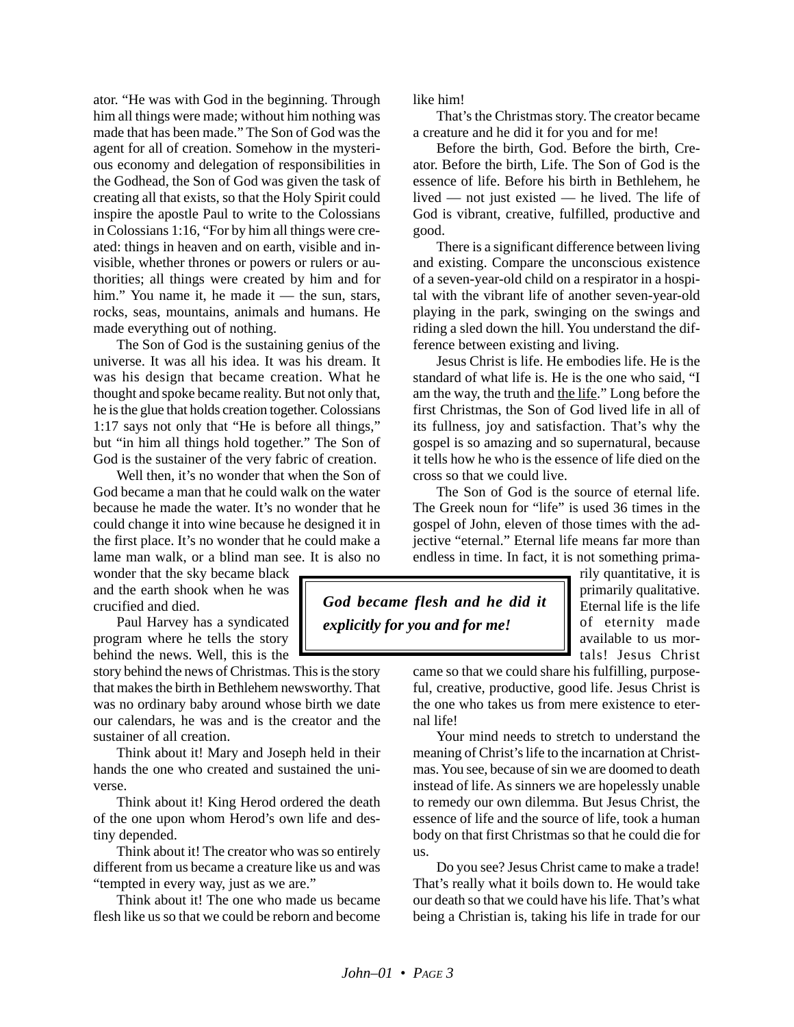ator. "He was with God in the beginning. Through him all things were made; without him nothing was made that has been made." The Son of God was the agent for all of creation. Somehow in the mysterious economy and delegation of responsibilities in the Godhead, the Son of God was given the task of creating all that exists, so that the Holy Spirit could inspire the apostle Paul to write to the Colossians in Colossians 1:16, "For by him all things were created: things in heaven and on earth, visible and invisible, whether thrones or powers or rulers or authorities; all things were created by him and for him." You name it, he made it — the sun, stars, rocks, seas, mountains, animals and humans. He made everything out of nothing.

The Son of God is the sustaining genius of the universe. It was all his idea. It was his dream. It was his design that became creation. What he thought and spoke became reality. But not only that, he is the glue that holds creation together. Colossians 1:17 says not only that "He is before all things," but "in him all things hold together." The Son of God is the sustainer of the very fabric of creation.

Well then, it's no wonder that when the Son of God became a man that he could walk on the water because he made the water. It's no wonder that he could change it into wine because he designed it in the first place. It's no wonder that he could make a lame man walk, or a blind man see. It is also no

wonder that the sky became black and the earth shook when he was crucified and died.

Paul Harvey has a syndicated program where he tells the story behind the news. Well, this is the

story behind the news of Christmas. This is the story that makes the birth in Bethlehem newsworthy. That was no ordinary baby around whose birth we date our calendars, he was and is the creator and the sustainer of all creation.

Think about it! Mary and Joseph held in their hands the one who created and sustained the universe.

Think about it! King Herod ordered the death of the one upon whom Herod's own life and destiny depended.

Think about it! The creator who was so entirely different from us became a creature like us and was "tempted in every way, just as we are."

Think about it! The one who made us became flesh like us so that we could be reborn and become like him!

That's the Christmas story. The creator became a creature and he did it for you and for me!

Before the birth, God. Before the birth, Creator. Before the birth, Life. The Son of God is the essence of life. Before his birth in Bethlehem, he lived — not just existed — he lived. The life of God is vibrant, creative, fulfilled, productive and good.

There is a significant difference between living and existing. Compare the unconscious existence of a seven-year-old child on a respirator in a hospital with the vibrant life of another seven-year-old playing in the park, swinging on the swings and riding a sled down the hill. You understand the difference between existing and living.

Jesus Christ is life. He embodies life. He is the standard of what life is. He is the one who said, "I am the way, the truth and the life." Long before the first Christmas, the Son of God lived life in all of its fullness, joy and satisfaction. That's why the gospel is so amazing and so supernatural, because it tells how he who is the essence of life died on the cross so that we could live.

The Son of God is the source of eternal life. The Greek noun for "life" is used 36 times in the gospel of John, eleven of those times with the adjective "eternal." Eternal life means far more than endless in time. In fact, it is not something prima-

*God became flesh and he did it explicitly for you and for me!*

rily quantitative, it is primarily qualitative. Eternal life is the life of eternity made available to us mortals! Jesus Christ

came so that we could share his fulfilling, purposeful, creative, productive, good life. Jesus Christ is the one who takes us from mere existence to eternal life!

Your mind needs to stretch to understand the meaning of Christ's life to the incarnation at Christmas. You see, because of sin we are doomed to death instead of life. As sinners we are hopelessly unable to remedy our own dilemma. But Jesus Christ, the essence of life and the source of life, took a human body on that first Christmas so that he could die for us.

Do you see? Jesus Christ came to make a trade! That's really what it boils down to. He would take our death so that we could have his life. That's what being a Christian is, taking his life in trade for our